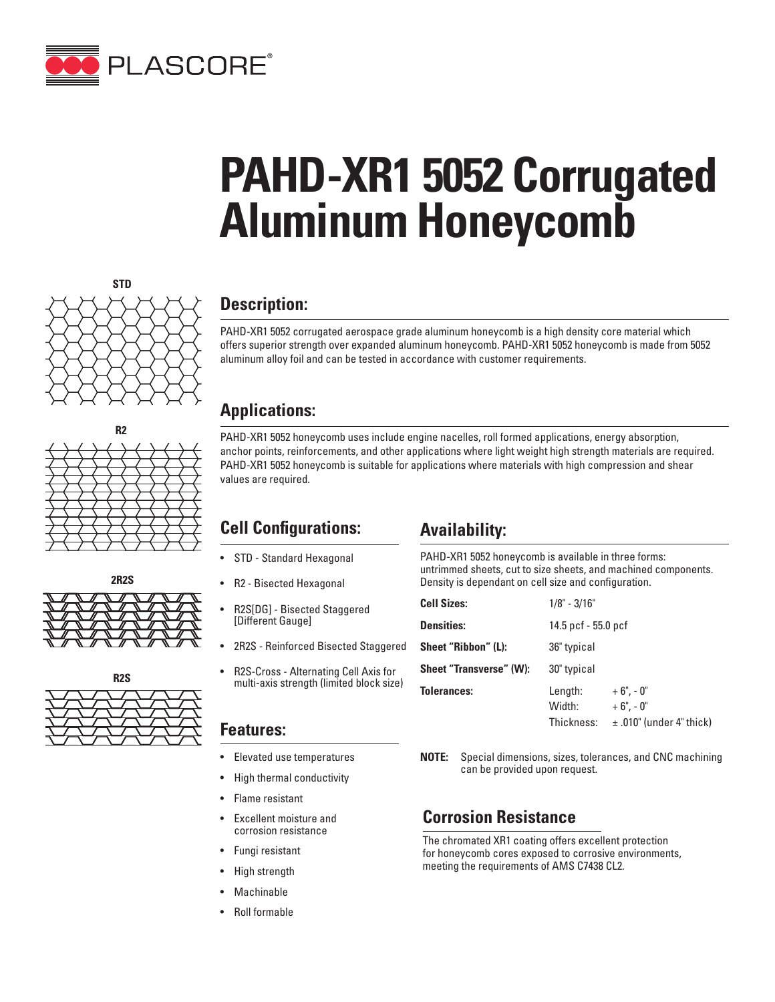

# **PAHD-XR1 5052 Corrugated Aluminum Honeycomb**









## **Description:**

PAHD-XR1 5052 corrugated aerospace grade aluminum honeycomb is a high density core material which offers superior strength over expanded aluminum honeycomb. PAHD-XR1 5052 honeycomb is made from 5052 aluminum alloy foil and can be tested in accordance with customer requirements.

#### **Applications:**

PAHD-XR1 5052 honeycomb uses include engine nacelles, roll formed applications, energy absorption, anchor points, reinforcements, and other applications where light weight high strength materials are required. PAHD-XR1 5052 honeycomb is suitable for applications where materials with high compression and shear values are required.

## **Cell Configurations:**

- STD Standard Hexagonal
- R2 Bisected Hexagonal
- R2S[DG] Bisected Staggered [Different Gauge]
- 2R2S Reinforced Bisected Staggered
- R2S-Cross Alternating Cell Axis for multi-axis strength (limited block size)

#### **Features:**

- Elevated use temperatures
- High thermal conductivity
- Flame resistant
- Excellent moisture and corrosion resistance
- Fungi resistant
- High strength
- **Machinable**
- Roll formable

## **Availability:**

PAHD-XR1 5052 honeycomb is available in three forms: untrimmed sheets, cut to size sheets, and machined components. Density is dependant on cell size and configuration.

| <b>Cell Sizes:</b>             | $1/8$ " - $3/16$ "              |                                                           |  |
|--------------------------------|---------------------------------|-----------------------------------------------------------|--|
| <b>Densities:</b>              | 14.5 pcf - 55.0 pcf             |                                                           |  |
| Sheet "Ribbon" (L):            | 36" typical                     |                                                           |  |
| <b>Sheet "Transverse" (W):</b> | 30" typical                     |                                                           |  |
| <b>Tolerances:</b>             | Length:<br>Width:<br>Thickness: | $+6" -0"$<br>$+6$ ", - 0"<br>$\pm$ .010" (under 4" thick) |  |

**NOTE:** Special dimensions, sizes, tolerances, and CNC machining can be provided upon request.

#### **Corrosion Resistance**

The chromated XR1 coating offers excellent protection for honeycomb cores exposed to corrosive environments, meeting the requirements of AMS C7438 CL2.